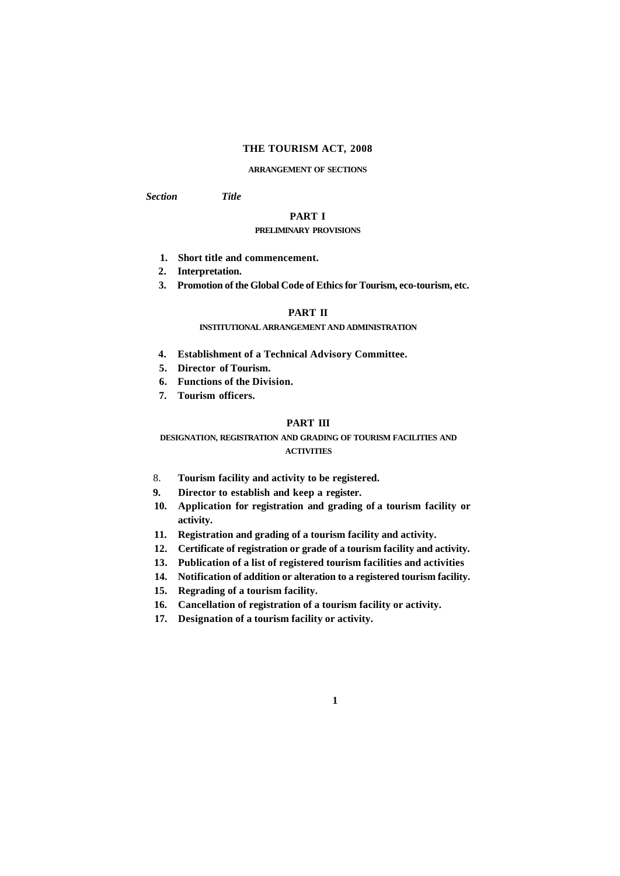### **THE TOURISM ACT, 2008**

### **ARRANGEMENT OF SECTIONS**

*Section Title* 

# **PART I**

## **PRELIMINARY PROVISIONS**

- **1. Short title and commencement.**
- **2. Interpretation.**
- **3. Promotion of the Global Code of Ethics for Tourism, eco-tourism, etc.**

# **PART II**

## **INSTITUTIONAL ARRANGEMENT AND ADMINISTRATION**

- **4. Establishment of a Technical Advisory Committee.**
- **5. Director of Tourism.**
- **6. Functions of the Division.**
- **7. Tourism officers.**

### **PART III**

## **DESIGNATION, REGISTRATION AND GRADING OF TOURISM FACILITIES AND ACTIVITIES**

- 8. **Tourism facility and activity to be registered.**
- **9. Director to establish and keep a register.**
- **10. Application for registration and grading of a tourism facility or activity.**
- **11. Registration and grading of a tourism facility and activity.**
- **12. Certificate of registration or grade of a tourism facility and activity.**
- **13. Publication of a list of registered tourism facilities and activities**
- **14. Notification of addition or alteration to a registered tourism facility.**
- **15. Regrading of a tourism facility.**
- **16. Cancellation of registration of a tourism facility or activity.**
- **17. Designation of a tourism facility or activity.**

**1**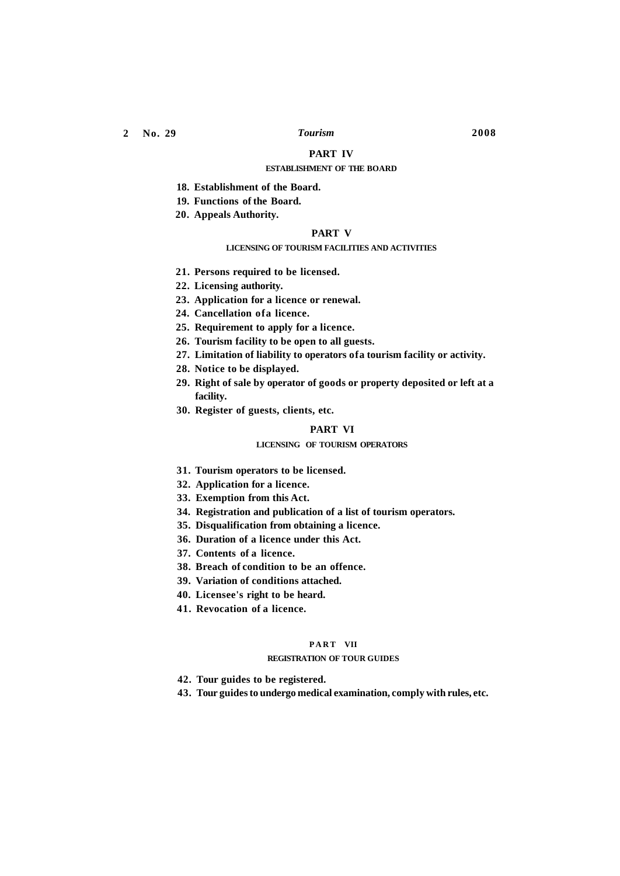### **PART IV**

### **ESTABLISHMENT OF THE BOARD**

- **18. Establishment of the Board.**
- **19. Functions of the Board.**
- **20. Appeals Authority.**

## **PART V**

## **LICENSING OF TOURISM FACILITIES AND ACTIVITIES**

- **21. Persons required to be licensed.**
- **22. Licensing authority.**
- **23. Application for a licence or renewal.**
- **24. Cancellation ofa licence.**
- **25. Requirement to apply for a licence.**
- **26. Tourism facility to be open to all guests.**
- **27. Limitation of liability to operators ofa tourism facility or activity.**
- **28. Notice to be displayed.**
- **29. Right of sale by operator of goods or property deposited or left at a facility.**
- **30. Register of guests, clients, etc.**

### **PART VI**

### **LICENSING OF TOURISM OPERATORS**

- **31. Tourism operators to be licensed.**
- **32. Application for a licence.**
- **33. Exemption from this Act.**
- **34. Registration and publication of a list of tourism operators.**
- **35. Disqualification from obtaining a licence.**
- **36. Duration of a licence under this Act.**
- **37. Contents of a licence.**
- **38. Breach of condition to be an offence.**
- **39. Variation of conditions attached.**
- **40. Licensee's right to be heard.**
- **41. Revocation of a licence.**

## **PAR T VII**

### **REGISTRATION OF TOUR GUIDES**

- **42. Tour guides to be registered.**
- **43. Tour guides to undergo medical examination, comply with rules, etc.**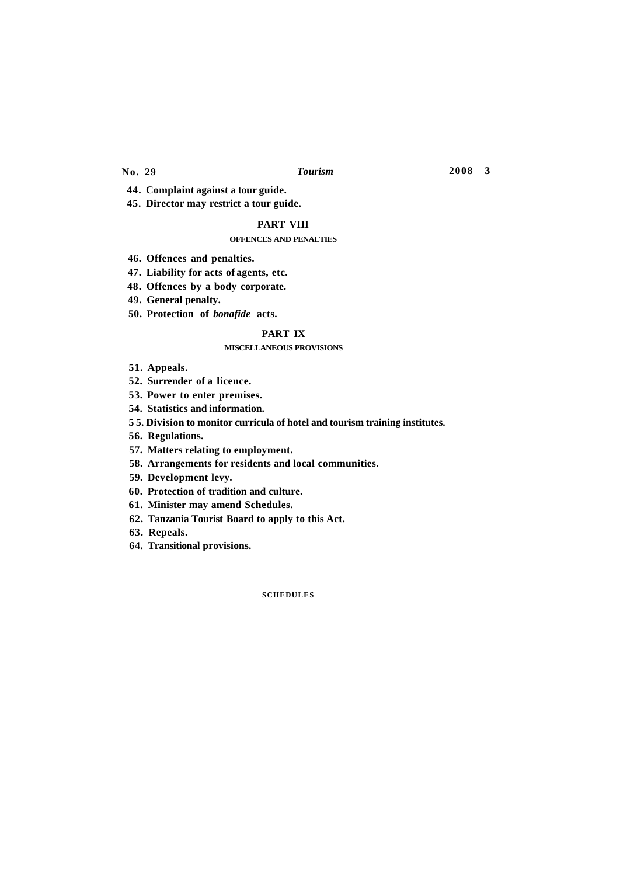**44. Complaint against a tour guide.** 

**45. Director may restrict a tour guide.** 

## **PART VIII**

### **OFFENCES AND PENALTIES**

- **46. Offences and penalties.**
- **47. Liability for acts of agents, etc.**

**48. Offences by a body corporate.** 

- **49. General penalty.**
- **50. Protection of** *bonafide* **acts.**

## **PART IX**

### **MISCELLANEOUS PROVISIONS**

**51. Appeals.** 

**52. Surrender of a licence.** 

**53. Power to enter premises.** 

**54. Statistics and information.** 

**5 5. Division to monitor curricula of hotel and tourism training institutes.** 

**56. Regulations.** 

**57. Matters relating to employment.** 

**58. Arrangements for residents and local communities.** 

**59. Development levy.** 

**60. Protection of tradition and culture.** 

**61. Minister may amend Schedules.** 

**62. Tanzania Tourist Board to apply to this Act.** 

- **63. Repeals.**
- **64. Transitional provisions.**

**SCHEDULES**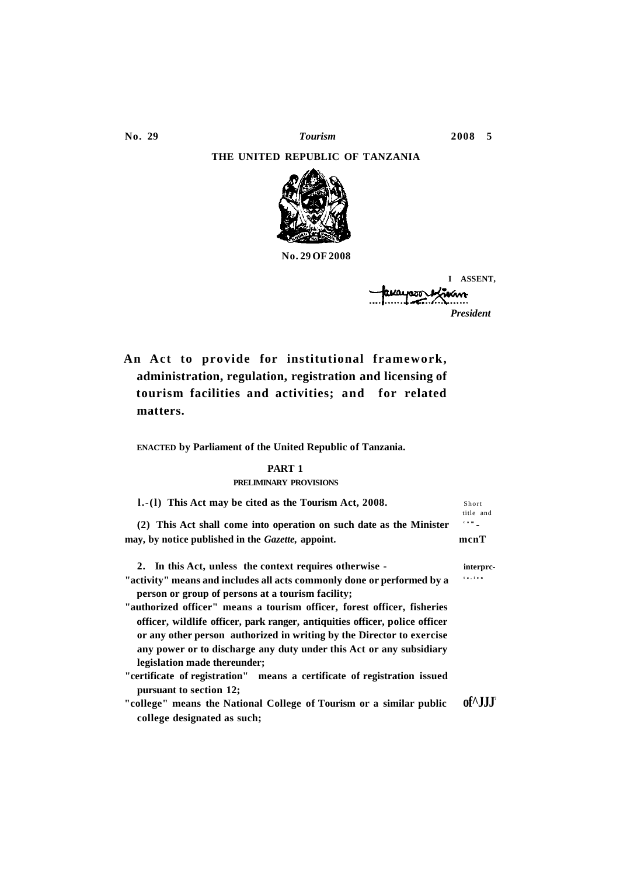## **THE UNITED REPUBLIC OF TANZANIA**



**No. 29 OF 2008** 

**I ASSENT,**  vum *President* 

**An Act to provide for institutional framework, administration, regulation, registration and licensing of tourism facilities and activities; and for related matters.** 

**ENACTED by Parliament of the United Republic of Tanzania.** 

## **PART 1**

### **PRELIMINARY PROVISIONS**

**l.-(l)** This Act may be cited as the Tourism Act, 2008. Short

**(2) This Act shall come into operation on such date as the Minister com may, by notice published in the** *Gazette,* **appoint. mcnT** 

**2. In this Act, unless the context requires otherwise - interprc-**

"activity" means and includes all acts commonly done or performed by a **person or group of persons at a tourism facility;** 

- **"authorized officer" means a tourism officer, forest officer, fisheries officer, wildlife officer, park ranger, antiquities officer, police officer or any other person authorized in writing by the Director to exercise any power or to discharge any duty under this Act or any subsidiary legislation made thereunder;**
- **"certificate of registration" means a certificate of registration issued pursuant to section 12;**
- **"college" means the National College of Tourism or a similar public of^JJJ<sup>7</sup> college designated as such;**

title and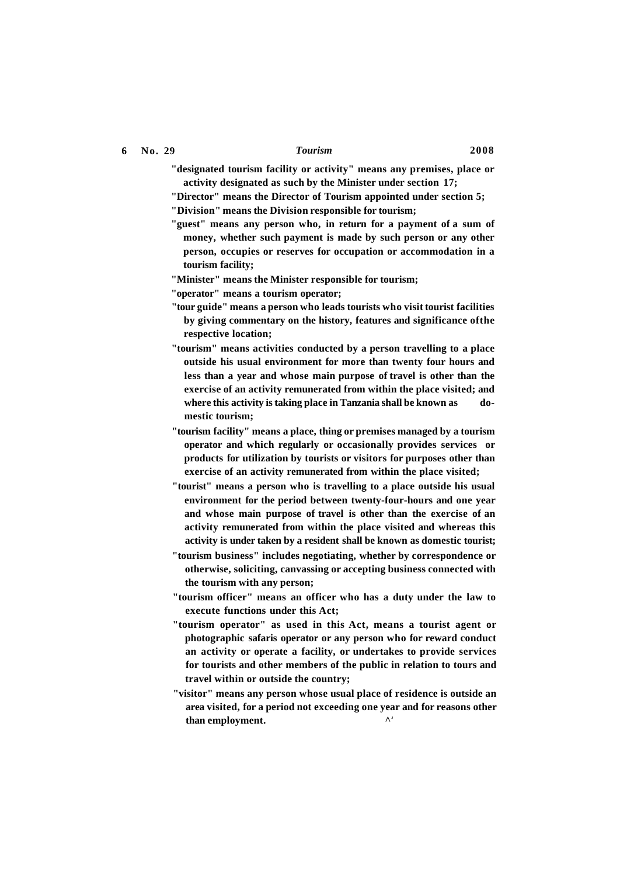- **"designated tourism facility or activity" means any premises, place or activity designated as such by the Minister under section 17;**
- **"Director" means the Director of Tourism appointed under section 5; "Division" means the Division responsible for tourism;**
- **"guest" means any person who, in return for a payment of a sum of money, whether such payment is made by such person or any other person, occupies or reserves for occupation or accommodation in a tourism facility;**
- **"Minister" means the Minister responsible for tourism;**
- **"operator" means a tourism operator;**
- **"tour guide" means a person who leads tourists who visit tourist facilities by giving commentary on the history, features and significance ofthe respective location;**
- **"tourism" means activities conducted by a person travelling to a place outside his usual environment for more than twenty four hours and less than a year and whose main purpose of travel is other than the exercise of an activity remunerated from within the place visited; and**  where this activity is taking place in Tanzania shall be known as do**mestic tourism;**
- **"tourism facility" means a place, thing or premises managed by a tourism operator and which regularly or occasionally provides services or products for utilization by tourists or visitors for purposes other than exercise of an activity remunerated from within the place visited;**
- **"tourist" means a person who is travelling to a place outside his usual environment for the period between twenty-four-hours and one year and whose main purpose of travel is other than the exercise of an activity remunerated from within the place visited and whereas this activity is under taken by a resident shall be known as domestic tourist;**
- **"tourism business" includes negotiating, whether by correspondence or otherwise, soliciting, canvassing or accepting business connected with the tourism with any person;**
- **"tourism officer" means an officer who has a duty under the law to execute functions under this Act;**
- **"tourism operator" as used in this Act, means a tourist agent or photographic safaris operator or any person who for reward conduct an activity or operate a facility, or undertakes to provide services for tourists and other members of the public in relation to tours and travel within or outside the country;**
- **"visitor" means any person whose usual place of residence is outside an area visited, for a period not exceeding one year and for reasons other than employment.**  $\bigwedge^{\lambda}$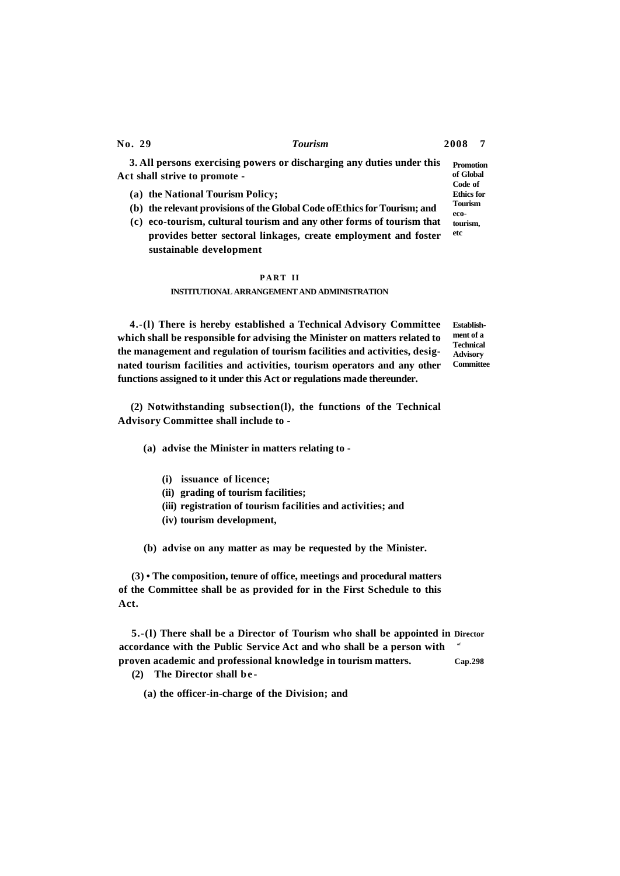**Ethics for Tourism eco-**

**3. All persons exercising powers or discharging any duties under this Act shall strive to promote - Promotion of Global Code of** 

- **(a) the National Tourism Policy;**
- **(b) the relevant provisions of the Global Code ofEthics for Tourism; and**
- **(c) eco-tourism, cultural tourism and any other forms of tourism that provides better sectoral linkages, create employment and foster sustainable development tourism, etc**

## **PAR T II INSTITUTIONAL ARRANGEMENT AND ADMINISTRATION**

**4.-(l) There is hereby established a Technical Advisory Committee which shall be responsible for advising the Minister on matters related to the management and regulation of tourism facilities and activities, designated tourism facilities and activities, tourism operators and any other functions assigned to it under this Act or regulations made thereunder.** 

**Establishment of a Technical Advisory Committee** 

**(2) Notwithstanding subsection(l), the functions of the Technical Advisory Committee shall include to -**

- **(a) advise the Minister in matters relating to -**
	- **(i) issuance of licence;**
	- **(ii) grading of tourism facilities;**
	- **(iii) registration of tourism facilities and activities; and**
	- **(iv) tourism development,**

**(b) advise on any matter as may be requested by the Minister.** 

**(3) • The composition, tenure of office, meetings and procedural matters of the Committee shall be as provided for in the First Schedule to this Act.** 

**5.-(l) There shall be a Director of Tourism who shall be appointed in Director**  accordance with the Public Service Act and who shall be a person with  $\alpha$ **proven academic and professional knowledge in tourism matters. Cap.298 (2) The Director shall be -**

**(a) the officer-in-charge of the Division; and**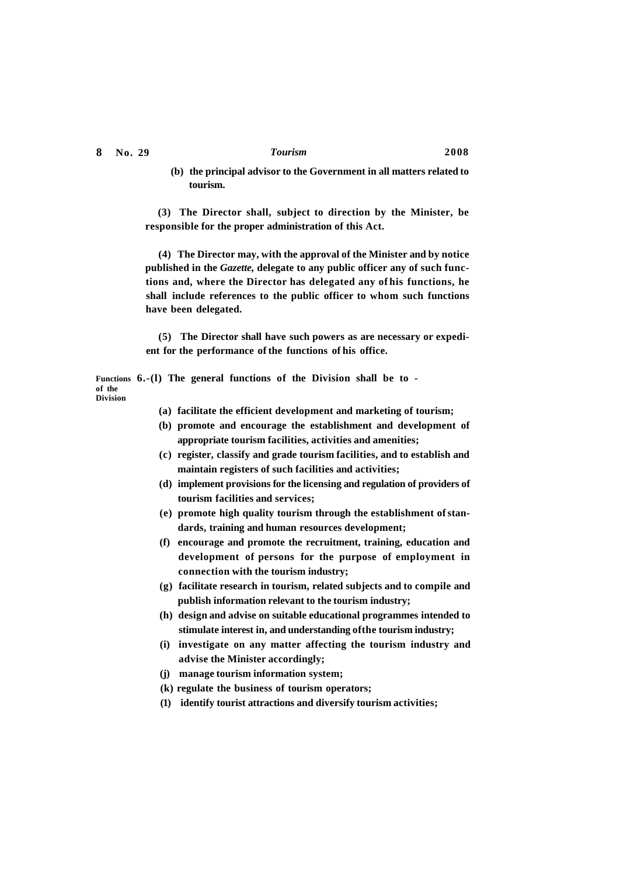**tourism.** 

**(b) the principal advisor to the Government in all matters related to** 

**(3) The Director shall, subject to direction by the Minister, be responsible for the proper administration of this Act.** 

**(4) The Director may, with the approval of the Minister and by notice published in the** *Gazette,* **delegate to any public officer any of such functions and, where the Director has delegated any of his functions, he shall include references to the public officer to whom such functions have been delegated.** 

**(5) The Director shall have such powers as are necessary or expedient for the performance of the functions of his office.** 

**Functions 6.-(l) The general functions of the Division shall be to of the Division** 

- **(a) facilitate the efficient development and marketing of tourism;**
- **(b) promote and encourage the establishment and development of appropriate tourism facilities, activities and amenities;**
- **(c) register, classify and grade tourism facilities, and to establish and maintain registers of such facilities and activities;**
- **(d) implement provisions for the licensing and regulation of providers of tourism facilities and services;**
- **(e) promote high quality tourism through the establishment of standards, training and human resources development;**
- **(f) encourage and promote the recruitment, training, education and development of persons for the purpose of employment in connection with the tourism industry;**
- **(g) facilitate research in tourism, related subjects and to compile and publish information relevant to the tourism industry;**
- **(h) design and advise on suitable educational programmes intended to stimulate interest in, and understanding ofthe tourism industry;**
- **(i) investigate on any matter affecting the tourism industry and advise the Minister accordingly;**
- **(j) manage tourism information system;**
- **(k) regulate the business of tourism operators;**
- **(1) identify tourist attractions and diversify tourism activities;**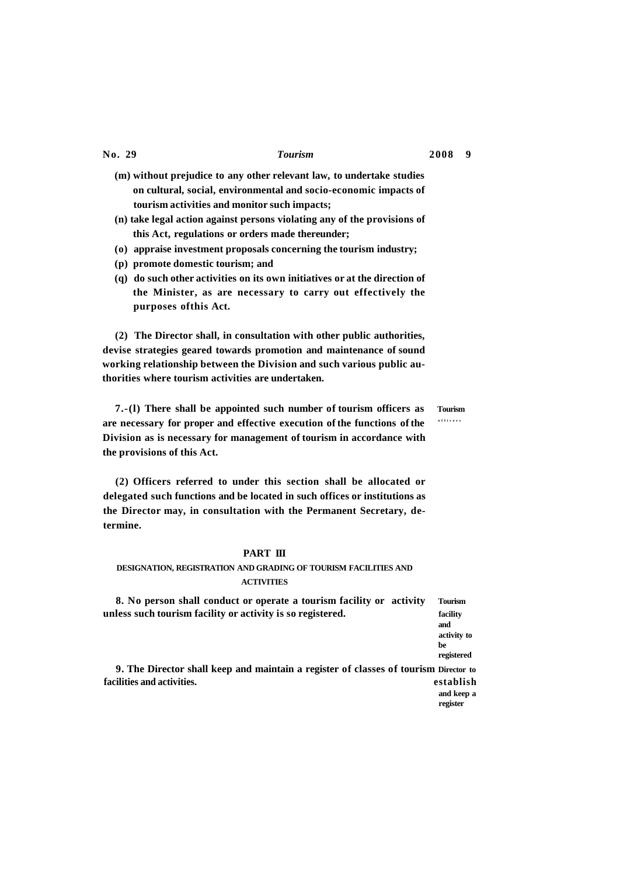- **(m) without prejudice to any other relevant law, to undertake studies on cultural, social, environmental and socio-economic impacts of tourism activities and monitor such impacts;**
- **(n) take legal action against persons violating any of the provisions of this Act, regulations or orders made thereunder;**
- **(o) appraise investment proposals concerning the tourism industry;**
- **(p) promote domestic tourism; and**
- **(q) do such other activities on its own initiatives or at the direction of the Minister, as are necessary to carry out effectively the purposes ofthis Act.**

**(2) The Director shall, in consultation with other public authorities, devise strategies geared towards promotion and maintenance of sound working relationship between the Division and such various public authorities where tourism activities are undertaken.** 

**7.-(l) There shall be appointed such number of tourism officers as Tourism are necessary for proper and effective execution of the functions of the officer s Division as is necessary for management of tourism in accordance with the provisions of this Act.** 

**(2) Officers referred to under this section shall be allocated or delegated such functions and be located in such offices or institutions as the Director may, in consultation with the Permanent Secretary, determine.** 

# **PART III**

# **DESIGNATION, REGISTRATION AND GRADING OF TOURISM FACILITIES AND ACTIVITIES**

| 8. No person shall conduct or operate a tourism facility or activity                 | <b>Tourism</b>                                     |
|--------------------------------------------------------------------------------------|----------------------------------------------------|
| unless such tourism facility or activity is so registered.                           | facility<br>and<br>activity to<br>be<br>registered |
| 9. The Director shall keep and maintain a register of classes of tourism Director to |                                                    |
| facilities and activities.                                                           | establish                                          |
|                                                                                      | and keep a<br>register                             |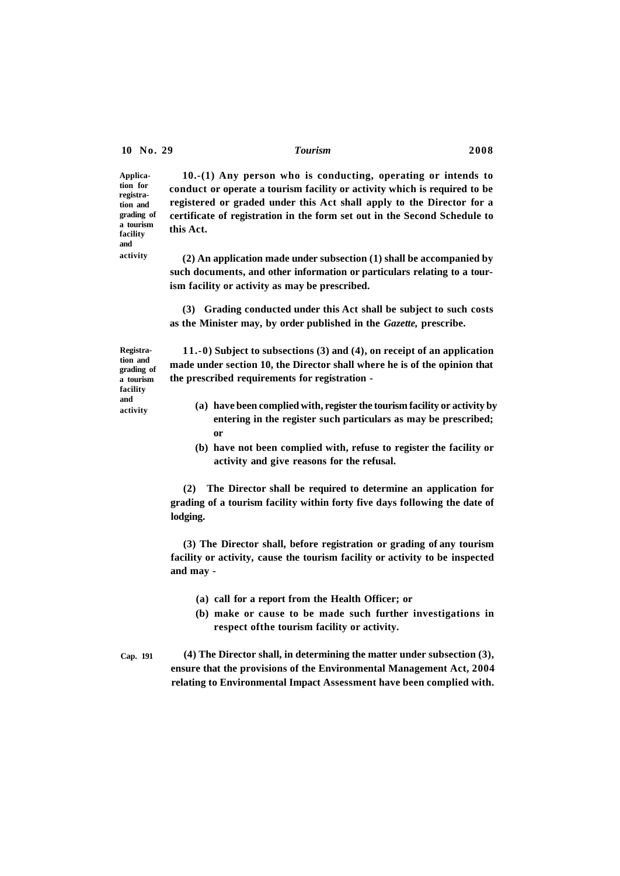**Application for registration and grading of a tourism facility and** 

**activity** 

**10.-(1) Any person who is conducting, operating or intends to conduct or operate a tourism facility or activity which is required to be registered or graded under this Act shall apply to the Director for a certificate of registration in the form set out in the Second Schedule to this Act.** 

**(2) An application made under subsection (1) shall be accompanied by such documents, and other information or particulars relating to a tourism facility or activity as may be prescribed.** 

**(3) Grading conducted under this Act shall be subject to such costs as the Minister may, by order published in the** *Gazette,* **prescribe.** 

**Registration and grading of a tourism facility and activity** 

**11.-0) Subject to subsections (3) and (4), on receipt of an application made under section 10, the Director shall where he is of the opinion that the prescribed requirements for registration -**

- **(a) have been complied with, register the tourism facility or activity by entering in the register such particulars as may be prescribed; or**
- **(b) have not been complied with, refuse to register the facility or activity and give reasons for the refusal.**

**(2) The Director shall be required to determine an application for grading of a tourism facility within forty five days following the date of lodging.** 

**(3) The Director shall, before registration or grading of any tourism facility or activity, cause the tourism facility or activity to be inspected and may -**

- **(a) call for a report from the Health Officer; or**
- **(b) make or cause to be made such further investigations in respect ofthe tourism facility or activity.**
- **Cap. 191 (4) The Director shall, in determining the matter under subsection (3), ensure that the provisions of the Environmental Management Act, 2004 relating to Environmental Impact Assessment have been complied with.**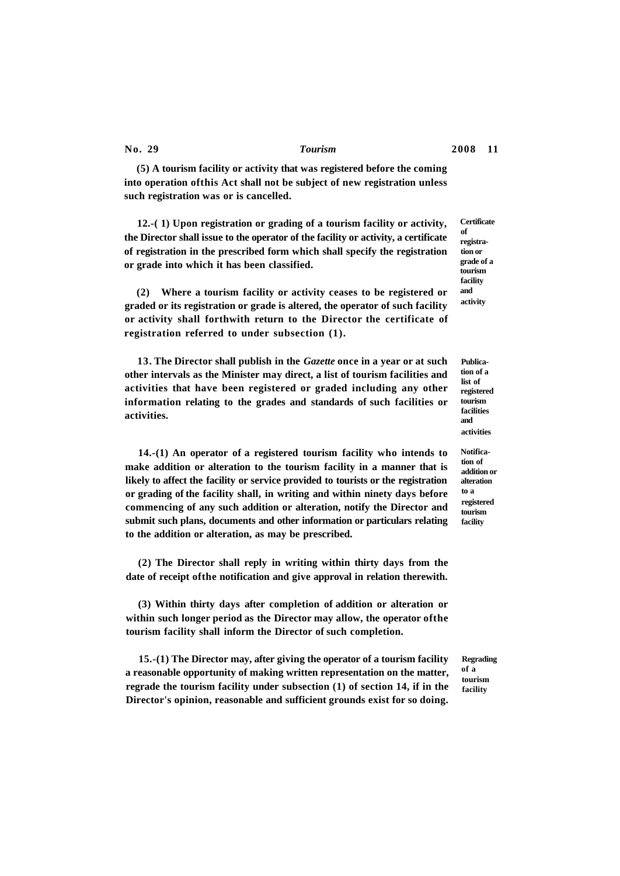**(5) A tourism facility or activity that was registered before the coming into operation ofthis Act shall not be subject of new registration unless such registration was or is cancelled.** 

**12.-( 1) Upon registration or grading of a tourism facility or activity, the Director shall issue to the operator of the facility or activity, a certificate of registration in the prescribed form which shall specify the registration or grade into which it has been classified.** 

**(2) Where a tourism facility or activity ceases to be registered or graded or its registration or grade is altered, the operator of such facility or activity shall forthwith return to the Director the certificate of registration referred to under subsection (1).** 

**13. The Director shall publish in the** *Gazette* **once in a year or at such other intervals as the Minister may direct, a list of tourism facilities and activities that have been registered or graded including any other information relating to the grades and standards of such facilities or activities.** 

**14.-(1) An operator of a registered tourism facility who intends to make addition or alteration to the tourism facility in a manner that is likely to affect the facility or service provided to tourists or the registration or grading of the facility shall, in writing and within ninety days before commencing of any such addition or alteration, notify the Director and submit such plans, documents and other information or particulars relating to the addition or alteration, as may be prescribed.** 

**(2) The Director shall reply in writing within thirty days from the date of receipt ofthe notification and give approval in relation therewith.** 

**(3) Within thirty days after completion of addition or alteration or within such longer period as the Director may allow, the operator ofthe tourism facility shall inform the Director of such completion.** 

**15.-(1) The Director may, after giving the operator of a tourism facility a reasonable opportunity of making written representation on the matter, regrade the tourism facility under subsection (1) of section 14, if in the Director's opinion, reasonable and sufficient grounds exist for so doing.** 

**Certificate of registration or grade of a tourism facility and activity** 

**Publication of a list of registered tourism facilities and activities** 

**Notification of addition or alteration to a registered tourism facility** 

**Regrading of a tourism facility**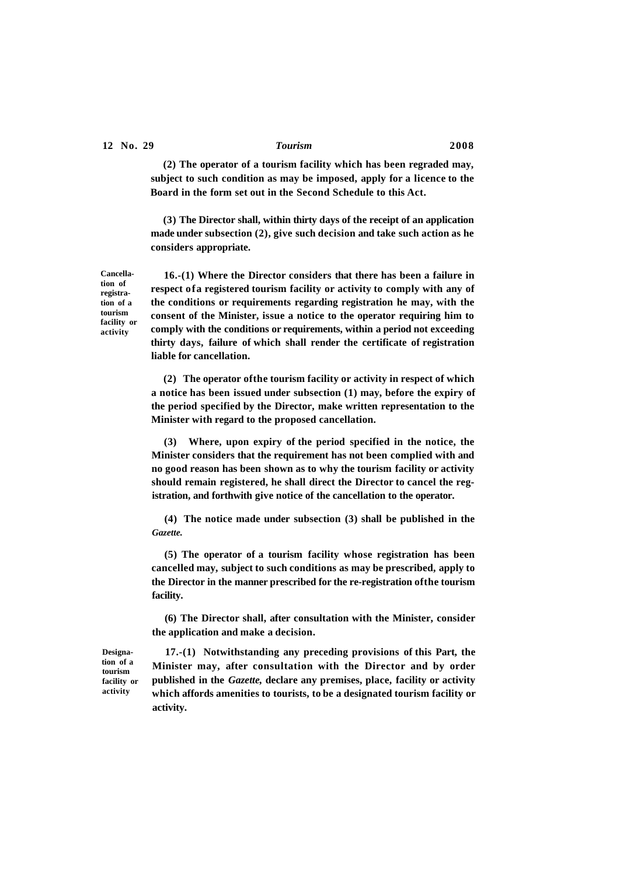**(2) The operator of a tourism facility which has been regraded may, subject to such condition as may be imposed, apply for a licence to the Board in the form set out in the Second Schedule to this Act.** 

**(3) The Director shall, within thirty days of the receipt of an application made under subsection (2), give such decision and take such action as he considers appropriate.** 

**16.-(1) Where the Director considers that there has been a failure in respect ofa registered tourism facility or activity to comply with any of the conditions or requirements regarding registration he may, with the consent of the Minister, issue a notice to the operator requiring him to comply with the conditions or requirements, within a period not exceeding thirty days, failure of which shall render the certificate of registration liable for cancellation.** 

**(2) The operator ofthe tourism facility or activity in respect of which a notice has been issued under subsection (1) may, before the expiry of the period specified by the Director, make written representation to the Minister with regard to the proposed cancellation.** 

**(3) Where, upon expiry of the period specified in the notice, the Minister considers that the requirement has not been complied with and no good reason has been shown as to why the tourism facility or activity should remain registered, he shall direct the Director to cancel the registration, and forthwith give notice of the cancellation to the operator.** 

**(4) The notice made under subsection (3) shall be published in the**  *Gazette.* 

**(5) The operator of a tourism facility whose registration has been cancelled may, subject to such conditions as may be prescribed, apply to the Director in the manner prescribed for the re-registration ofthe tourism facility.** 

**(6) The Director shall, after consultation with the Minister, consider the application and make a decision.** 

**17.-(1) Notwithstanding any preceding provisions of this Part, the Minister may, after consultation with the Director and by order published in the** *Gazette,* **declare any premises, place, facility or activity which affords amenities to tourists, to be a designated tourism facility or activity.** 

**Designation of a tourism facility or activity** 

**Cancellation of registration of a tourism facility or activity**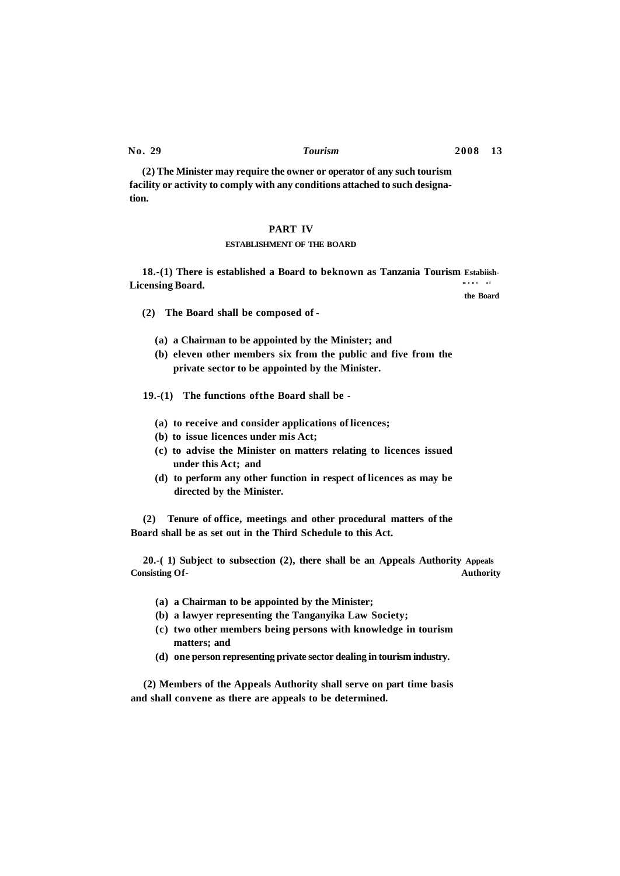**(2) The Minister may require the owner or operator of any such tourism facility or activity to comply with any conditions attached to such designation.** 

### **PART IV**

### **ESTABLISHMENT OF THE BOARD**

**18.-(1) There is established a Board to beknown as Tanzania Tourism Estabiish-Licensing Board. men t o f** 

**(2) The Board shall be composed of -**

- **(a) a Chairman to be appointed by the Minister; and**
- **(b) eleven other members six from the public and five from the private sector to be appointed by the Minister.**

**19.-(1) The functions ofthe Board shall be -**

- **(a) to receive and consider applications of licences;**
- **(b) to issue licences under mis Act;**
- **(c) to advise the Minister on matters relating to licences issued under this Act; and**
- **(d) to perform any other function in respect of licences as may be directed by the Minister.**

**(2) Tenure of office, meetings and other procedural matters of the Board shall be as set out in the Third Schedule to this Act.** 

**20.-( 1) Subject to subsection (2), there shall be an Appeals Authority Appeals Consisting Of- Authority** 

- **(a) a Chairman to be appointed by the Minister;**
- **(b) a lawyer representing the Tanganyika Law Society;**
- **(c) two other members being persons with knowledge in tourism matters; and**
- **(d) one person representing private sector dealing in tourism industry.**

**(2) Members of the Appeals Authority shall serve on part time basis and shall convene as there are appeals to be determined.** 

**No. 29** *Tourism* **2008 13** 

**the Board**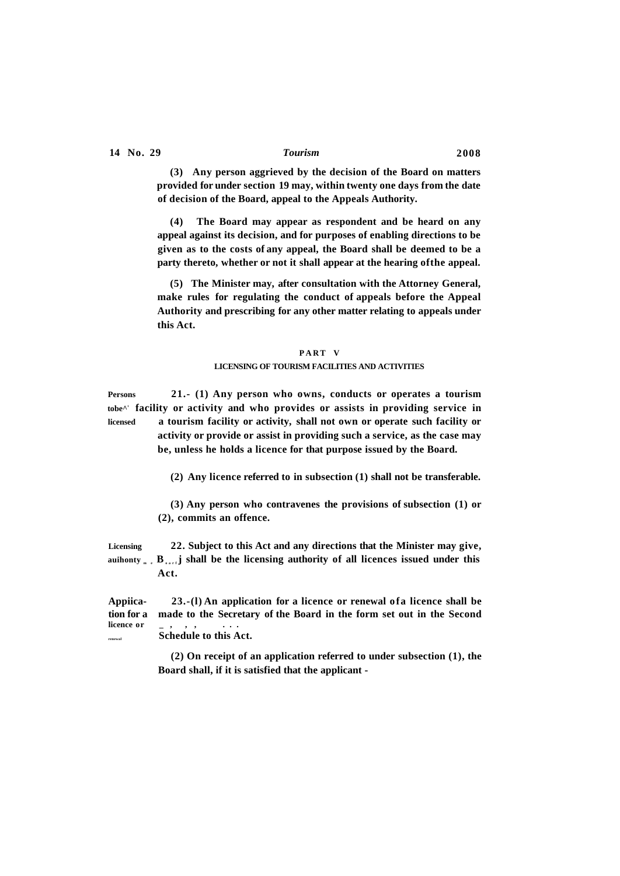**(3) Any person aggrieved by the decision of the Board on matters provided for under section 19 may, within twenty one days from the date of decision of the Board, appeal to the Appeals Authority.** 

**(4) The Board may appear as respondent and be heard on any appeal against its decision, and for purposes of enabling directions to be given as to the costs of any appeal, the Board shall be deemed to be a party thereto, whether or not it shall appear at the hearing ofthe appeal.** 

**(5) The Minister may, after consultation with the Attorney General, make rules for regulating the conduct of appeals before the Appeal Authority and prescribing for any other matter relating to appeals under this Act.** 

# **PAR T V LICENSING OF TOURISM FACILITIES AND ACTIVITIES**

**Persons 21.- (1) Any person who owns, conducts or operates a tourism tobe^<sup>1</sup> facility or activity and who provides or assists in providing service in licensed a tourism facility or activity, shall not own or operate such facility or activity or provide or assist in providing such a service, as the case may be, unless he holds a licence for that purpose issued by the Board.** 

**(2) Any licence referred to in subsection (1) shall not be transferable.** 

**(3) Any person who contravenes the provisions of subsection (1) or (2), commits an offence.** 

**Licensing 22. Subject to this Act and any directions that the Minister may give,**  auihonty<sub>m</sub> **e**, **B**<sub>oarf</sub>**j** shall be the licensing authority of all licences issued under this **Act.** 

**Appiica- 23.-(l) An application for a licence or renewal ofa licence shall be tion for a made to the Secretary of the Board in the form set out in the Second licence or \_ , , , .. . renewal Schedule to this Act.** 

> **(2) On receipt of an application referred to under subsection (1), the Board shall, if it is satisfied that the applicant -**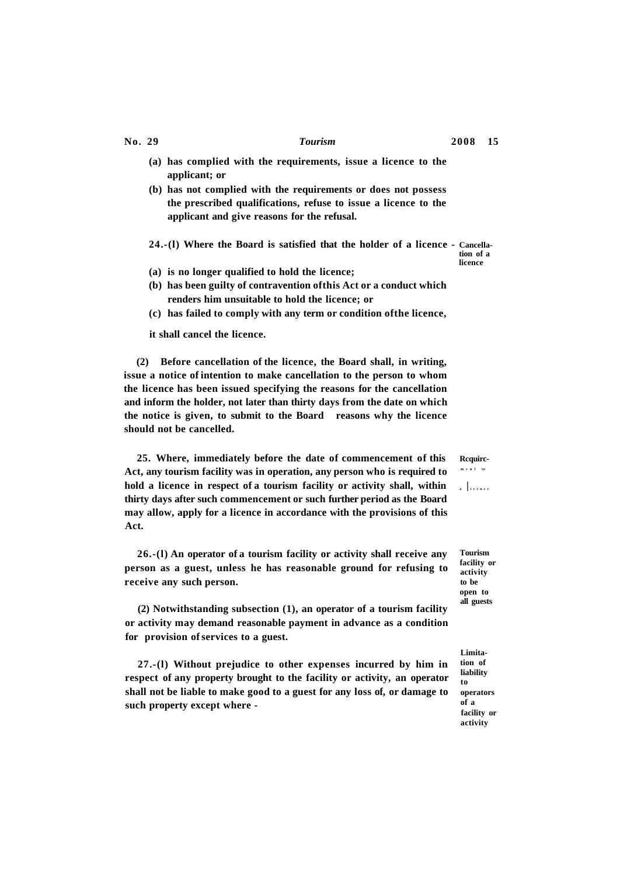- **(a) has complied with the requirements, issue a licence to the applicant; or**
- **(b) has not complied with the requirements or does not possess the prescribed qualifications, refuse to issue a licence to the applicant and give reasons for the refusal.**
- **24.-(l) Where the Board is satisfied that the holder of a licence - Cancella-**

**(a) is no longer qualified to hold the licence;** 

- **(b) has been guilty of contravention ofthis Act or a conduct which renders him unsuitable to hold the licence; or**
- **(c) has failed to comply with any term or condition ofthe licence,**

**it shall cancel the licence.** 

**(2) Before cancellation of the licence, the Board shall, in writing, issue a notice of intention to make cancellation to the person to whom the licence has been issued specifying the reasons for the cancellation and inform the holder, not later than thirty days from the date on which the notice is given, to submit to the Board reasons why the licence should not be cancelled.** 

**25. Where, immediately before the date of commencement of this Rcquirc-Act, any tourism facility was in operation, any person who is required to hold a licence in respect of a tourism facility or activity shall, within thirty days after such commencement or such further period as the Board may allow, apply for a licence in accordance with the provisions of this Act.** 

**26.-(l) An operator of a tourism facility or activity shall receive any person as a guest, unless he has reasonable ground for refusing to receive any such person.** 

**(2) Notwithstanding subsection (1), an operator of a tourism facility or activity may demand reasonable payment in advance as a condition for provision of services to a guest.** 

**27.-(l) Without prejudice to other expenses incurred by him in respect of any property brought to the facility or activity, an operator shall not be liable to make good to a guest for any loss of, or damage to such property except where -**

**tion of a licence** 

 **mcn l to** 

**Tourism facility or activity to be open to all guests** 

**Limitation of liability to operators of a facility or activity** 

**No. 29** *Tourism* **2008 15**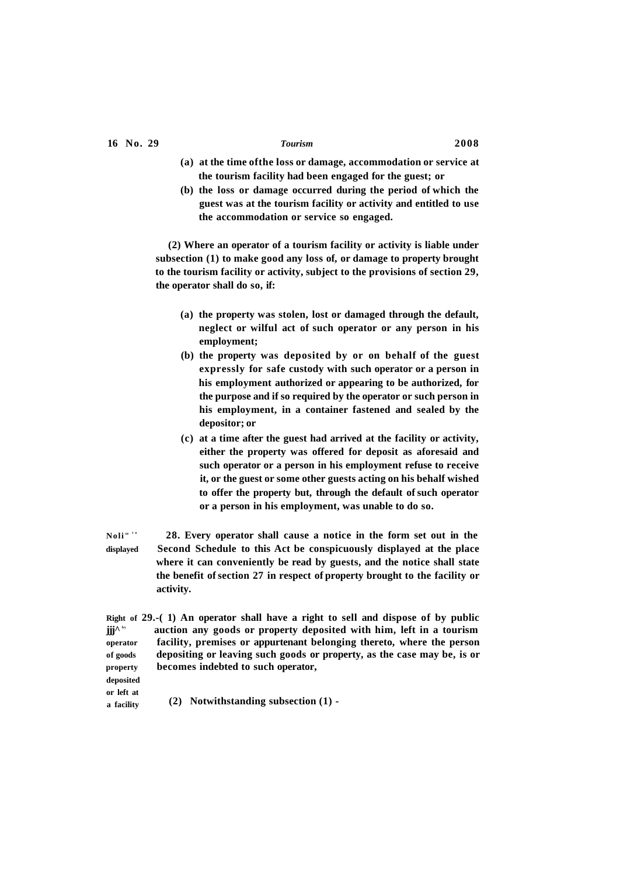- **(a) at the time ofthe loss or damage, accommodation or service at the tourism facility had been engaged for the guest; or**
- **(b) the loss or damage occurred during the period of which the guest was at the tourism facility or activity and entitled to use the accommodation or service so engaged.**

**(2) Where an operator of a tourism facility or activity is liable under subsection (1) to make good any loss of, or damage to property brought to the tourism facility or activity, subject to the provisions of section 29, the operator shall do so, if:** 

- **(a) the property was stolen, lost or damaged through the default, neglect or wilful act of such operator or any person in his employment;**
- **(b) the property was deposited by or on behalf of the guest expressly for safe custody with such operator or a person in his employment authorized or appearing to be authorized, for the purpose and if so required by the operator or such person in his employment, in a container fastened and sealed by the depositor; or**
- **(c) at a time after the guest had arrived at the facility or activity, either the property was offered for deposit as aforesaid and such operator or a person in his employment refuse to receive it, or the guest or some other guests acting on his behalf wished to offer the property but, through the default of such operator or a person in his employment, was unable to do so.**
- $N$ oli"  $\mathbf{I}^{\mathbf{t}}$  **28. Every operator shall cause a notice in the form set out in the displayed Second Schedule to this Act be conspicuously displayed at the place where it can conveniently be read by guests, and the notice shall state the benefit of section 27 in respect of property brought to the facility or activity.**
- **Right of 29.-( 1) An operator shall have a right to sell and dispose of by public jjj^ by auction any goods or property deposited with him, left in a tourism operator facility, premises or appurtenant belonging thereto, where the person of goods depositing or leaving such goods or property, as the case may be, is or property becomes indebted to such operator,**
- **deposited or left at**

**a facility (2) Notwithstanding subsection (1) -**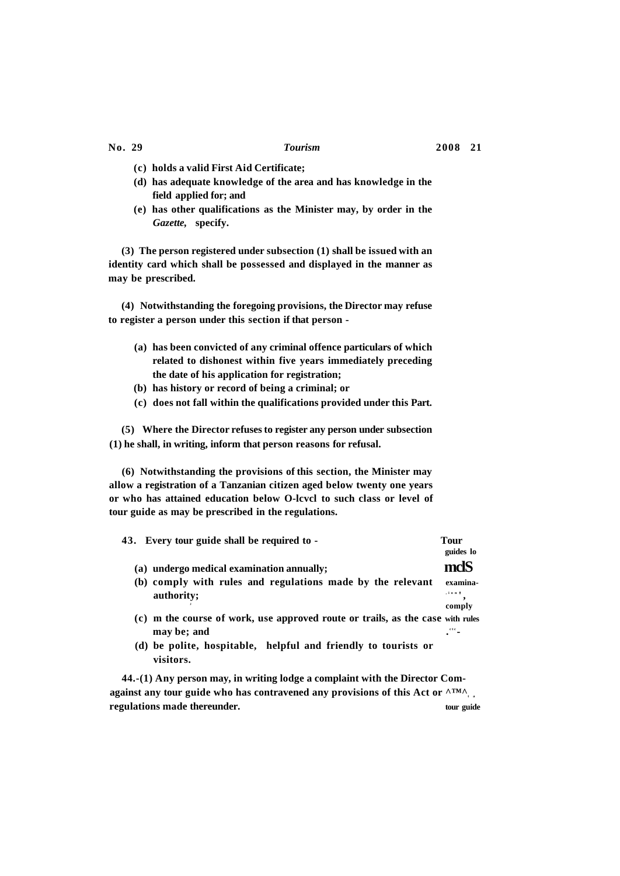- **(c) holds a valid First Aid Certificate;**
- **(d) has adequate knowledge of the area and has knowledge in the field applied for; and**
- **(e) has other qualifications as the Minister may, by order in the**  *Gazette,* **specify.**

**(3) The person registered under subsection (1) shall be issued with an identity card which shall be possessed and displayed in the manner as may be prescribed.** 

**(4) Notwithstanding the foregoing provisions, the Director may refuse to register a person under this section if that person -**

- **(a) has been convicted of any criminal offence particulars of which related to dishonest within five years immediately preceding the date of his application for registration;**
- **(b) has history or record of being a criminal; or**
- **(c) does not fall within the qualifications provided under this Part.**

**(5) Where the Director refuses to register any person under subsection (1) he shall, in writing, inform that person reasons for refusal.** 

**(6) Notwithstanding the provisions of this section, the Minister may allow a registration of a Tanzanian citizen aged below twenty one years or who has attained education below O-lcvcl to such class or level of tour guide as may be prescribed in the regulations.** 

| 43. Every tour guide shall be required to -                                                   | Tour<br>guides lo       |
|-----------------------------------------------------------------------------------------------|-------------------------|
| (a) undergo medical examination annually;                                                     | mclS                    |
| (b) comply with rules and regulations made by the relevant<br>authority;                      | examina-<br>, i o n     |
| (c) m the course of work, use approved route or trails, as the case with rules<br>may be; and | comply<br>$\bullet$ etc |
| (d) be polite, hospitable, helpful and friendly to tourists or<br>visitors.                   |                         |

**44.-(1) Any person may, in writing lodge a complaint with the Director Comagainst any tour guide who has contravened any provisions of this Act or**  $^{\text{ATM}\wedge}$ **. regulations made thereunder. tour guide**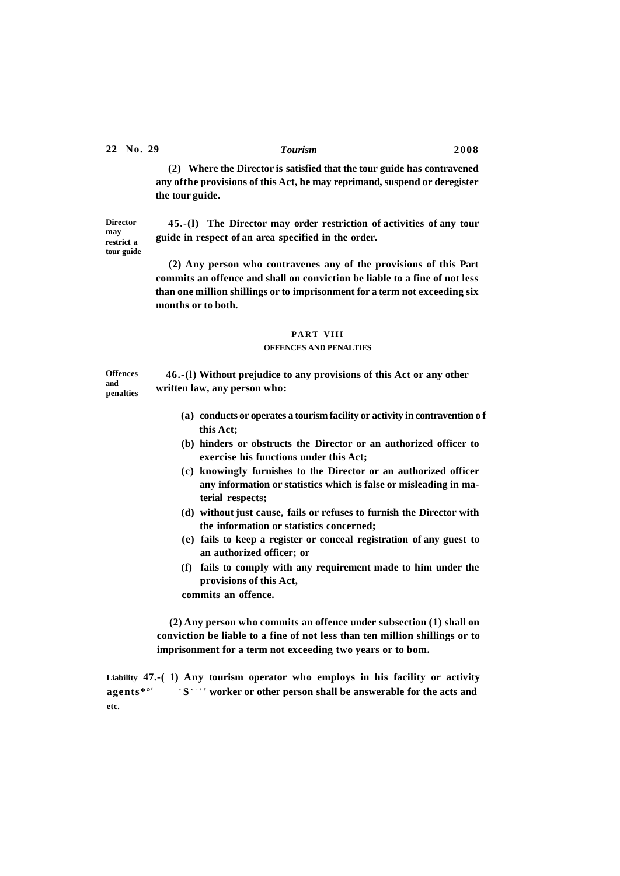**Director may restrict a tour guide** 

**and** 

**(2) Where the Director is satisfied that the tour guide has contravened any ofthe provisions of this Act, he may reprimand, suspend or deregister the tour guide.** 

**45.-(l) The Director may order restriction of activities of any tour guide in respect of an area specified in the order.** 

**(2) Any person who contravenes any of the provisions of this Part commits an offence and shall on conviction be liable to a fine of not less than one million shillings or to imprisonment for a term not exceeding six months or to both.** 

# **PAR T VIII**

### **OFFENCES AND PENALTIES**

**Offences penalties 46.-(l) Without prejudice to any provisions of this Act or any other written law, any person who:** 

- **(a) conducts or operates a tourism facility or activity in contravention o f this Act;**
- **(b) hinders or obstructs the Director or an authorized officer to exercise his functions under this Act;**
- **(c) knowingly furnishes to the Director or an authorized officer any information or statistics which is false or misleading in material respects;**
- **(d) without just cause, fails or refuses to furnish the Director with the information or statistics concerned;**
- **(e) fails to keep a register or conceal registration of any guest to an authorized officer; or**
- **(f) fails to comply with any requirement made to him under the provisions of this Act,**

**commits an offence.** 

**(2) Any person who commits an offence under subsection (1) shall on conviction be liable to a fine of not less than ten million shillings or to imprisonment for a term not exceeding two years or to bom.** 

**Liability 47.-( 1) Any tourism operator who employs in his facility or activity**   $a$  gents\* $\circ$ <sup> $f$ </sup> **'S**<sup>\*\*'</sup>' worker or other person shall be answerable for the acts and **etc.**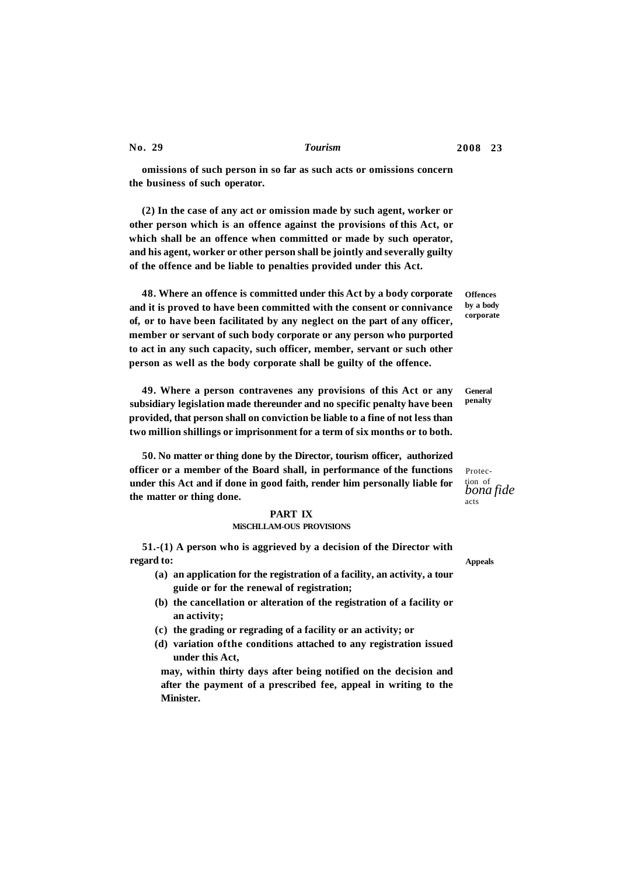**omissions of such person in so far as such acts or omissions concern the business of such operator.** 

**(2) In the case of any act or omission made by such agent, worker or other person which is an offence against the provisions of this Act, or which shall be an offence when committed or made by such operator, and his agent, worker or other person shall be jointly and severally guilty of the offence and be liable to penalties provided under this Act.** 

**48. Where an offence is committed under this Act by a body corporate and it is proved to have been committed with the consent or connivance of, or to have been facilitated by any neglect on the part of any officer, member or servant of such body corporate or any person who purported to act in any such capacity, such officer, member, servant or such other person as well as the body corporate shall be guilty of the offence.** 

**49. Where a person contravenes any provisions of this Act or any subsidiary legislation made thereunder and no specific penalty have been provided, that person shall on conviction be liable to a fine of not less than two million shillings or imprisonment for a term of six months or to both.** 

**50. No matter or thing done by the Director, tourism officer, authorized officer or a member of the Board shall, in performance of the functions under this Act and if done in good faith, render him personally liable for the matter or thing done.** 

### **PART IX**

### **MiSCHLLAM-OUS PROVISIONS**

**51.-(1) A person who is aggrieved by a decision of the Director with regard to:** 

- **(a) an application for the registration of a facility, an activity, a tour guide or for the renewal of registration;**
- **(b) the cancellation or alteration of the registration of a facility or an activity;**
- **(c) the grading or regrading of a facility or an activity; or**
- **(d) variation ofthe conditions attached to any registration issued under this Act,**

**may, within thirty days after being notified on the decision and after the payment of a prescribed fee, appeal in writing to the Minister.** 

**Offences by a body corporate** 

**General penalty** 

Protection of *bona fide*  acts

**Appeals** 

**No. 29** *Tourism* **2008 23**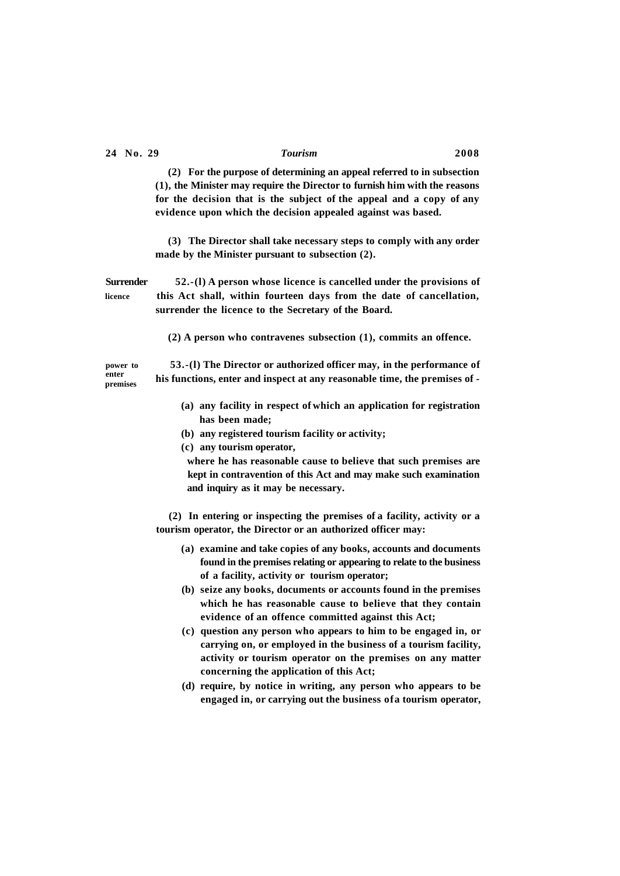**(2) For the purpose of determining an appeal referred to in subsection (1), the Minister may require the Director to furnish him with the reasons for the decision that is the subject of the appeal and a copy of any evidence upon which the decision appealed against was based.** 

**(3) The Director shall take necessary steps to comply with any order made by the Minister pursuant to subsection (2).** 

**Surrender 52.-(l) A person whose licence is cancelled under the provisions of licence this Act shall, within fourteen days from the date of cancellation, surrender the licence to the Secretary of the Board.** 

**(2) A person who contravenes subsection (1), commits an offence.** 

**enter premises** 

**power to 53.-(l) The Director or authorized officer may, in the performance of his functions, enter and inspect at any reasonable time, the premises of -**

- **(a) any facility in respect of which an application for registration has been made;**
- **(b) any registered tourism facility or activity;**
- **(c) any tourism operator,**

**where he has reasonable cause to believe that such premises are kept in contravention of this Act and may make such examination and inquiry as it may be necessary.** 

**(2) In entering or inspecting the premises of a facility, activity or a tourism operator, the Director or an authorized officer may:** 

- **(a) examine and take copies of any books, accounts and documents found in the premises relating or appearing to relate to the business of a facility, activity or tourism operator;**
- **(b) seize any books, documents or accounts found in the premises which he has reasonable cause to believe that they contain evidence of an offence committed against this Act;**
- **(c) question any person who appears to him to be engaged in, or carrying on, or employed in the business of a tourism facility, activity or tourism operator on the premises on any matter concerning the application of this Act;**
- **(d) require, by notice in writing, any person who appears to be engaged in, or carrying out the business ofa tourism operator,**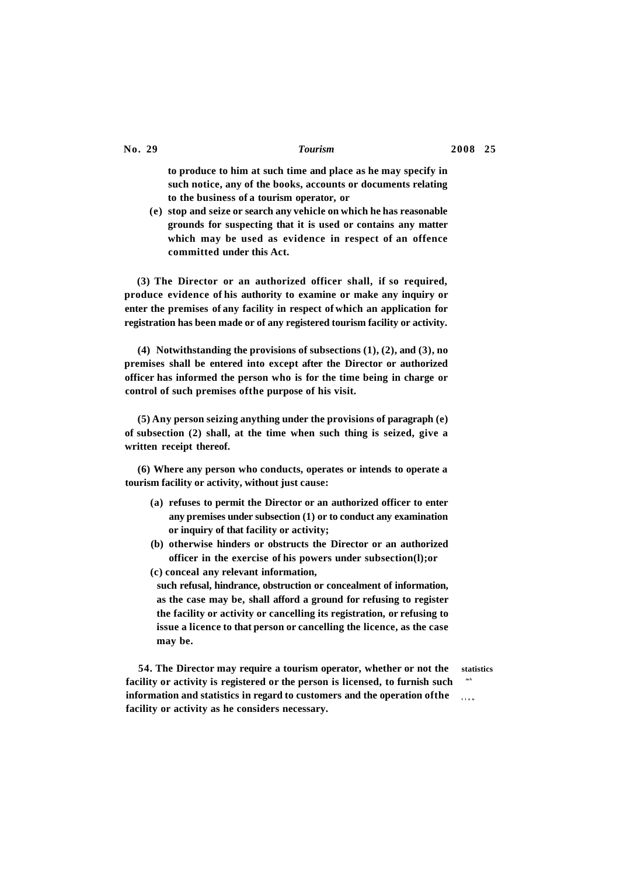**to produce to him at such time and place as he may specify in such notice, any of the books, accounts or documents relating to the business of a tourism operator, or** 

**(e) stop and seize or search any vehicle on which he has reasonable grounds for suspecting that it is used or contains any matter which may be used as evidence in respect of an offence committed under this Act.** 

**(3) The Director or an authorized officer shall, if so required, produce evidence of his authority to examine or make any inquiry or enter the premises of any facility in respect of which an application for registration has been made or of any registered tourism facility or activity.** 

**(4) Notwithstanding the provisions of subsections (1), (2), and (3), no premises shall be entered into except after the Director or authorized officer has informed the person who is for the time being in charge or control of such premises ofthe purpose of his visit.** 

**(5) Any person seizing anything under the provisions of paragraph (e) of subsection (2) shall, at the time when such thing is seized, give a written receipt thereof.** 

**(6) Where any person who conducts, operates or intends to operate a tourism facility or activity, without just cause:** 

- **(a) refuses to permit the Director or an authorized officer to enter any premises under subsection (1) or to conduct any examination or inquiry of that facility or activity;**
- **(b) otherwise hinders or obstructs the Director or an authorized officer in the exercise of his powers under subsection(l);or (c) conceal any relevant information,**

**such refusal, hindrance, obstruction or concealment of information, as the case may be, shall afford a ground for refusing to register the facility or activity or cancelling its registration, or refusing to issue a licence to that person or cancelling the licence, as the case may be.** 

**54. The Director may require a tourism operator, whether or not the statistics facility or activity is registered or the person is licensed, to furnish such mA information and statistics in regard to customers and the operation of the facility or activity as he considers necessary.**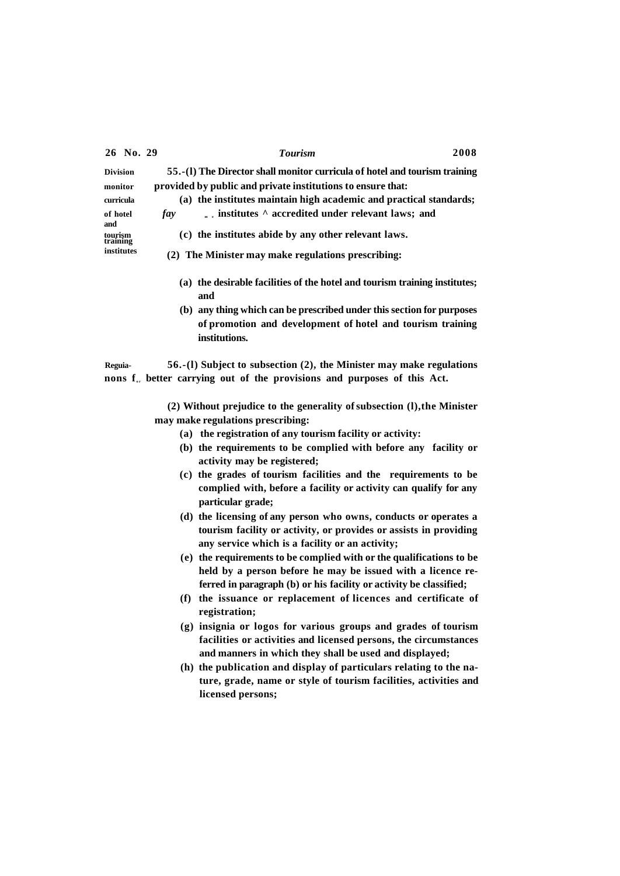|                                   | 26 No. 29                                            | <b>Tourism</b>                                                               | 2008 |
|-----------------------------------|------------------------------------------------------|------------------------------------------------------------------------------|------|
| <b>Division</b>                   |                                                      | 55.-(1) The Director shall monitor curricula of hotel and tourism training   |      |
| monitor                           |                                                      | provided by public and private institutions to ensure that:                  |      |
| curricula                         |                                                      | (a) the institutes maintain high academic and practical standards;           |      |
| of hotel<br>and                   |                                                      | $\mathbb{R}$ institutes $\wedge$ accredited under relevant laws; and<br>fay  |      |
| tourism<br>training<br>institutes | (c) the institutes abide by any other relevant laws. |                                                                              |      |
|                                   | (2) The Minister may make regulations prescribing:   |                                                                              |      |
|                                   |                                                      | the desirable facilities of the hotel and tourism training institutes;<br>a) |      |

- **and (b) any thing which can be prescribed under this section for purposes**
- **of promotion and development of hotel and tourism training institutions.**

**Reguia- 56.-(l) Subject to subsection (2), the Minister may make regulations**  nons  $f_{\alpha}$  better carrying out of the provisions and purposes of this Act.

> **(2) Without prejudice to the generality of subsection (l),the Minister may make regulations prescribing:**

- **(a) the registration of any tourism facility or activity:**
- **(b) the requirements to be complied with before any facility or activity may be registered;**
- **(c) the grades of tourism facilities and the requirements to be complied with, before a facility or activity can qualify for any particular grade;**
- **(d) the licensing of any person who owns, conducts or operates a tourism facility or activity, or provides or assists in providing any service which is a facility or an activity;**
- **(e) the requirements to be complied with or the qualifications to be held by a person before he may be issued with a licence referred in paragraph (b) or his facility or activity be classified;**
- **(f) the issuance or replacement of licences and certificate of registration;**
- **(g) insignia or logos for various groups and grades of tourism facilities or activities and licensed persons, the circumstances and manners in which they shall be used and displayed;**
- **(h) the publication and display of particulars relating to the nature, grade, name or style of tourism facilities, activities and licensed persons;**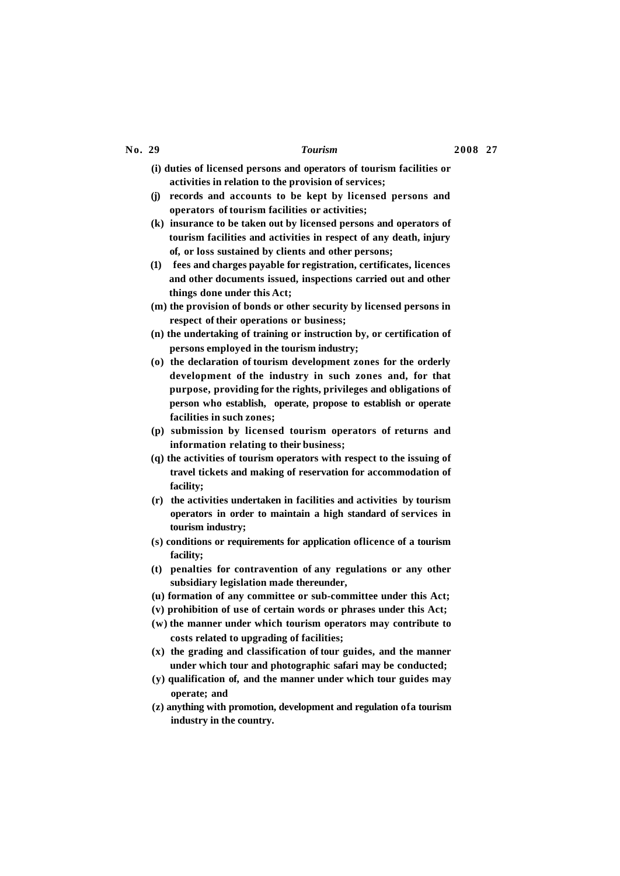- **(i) duties of licensed persons and operators of tourism facilities or activities in relation to the provision of services;**
- **(j) records and accounts to be kept by licensed persons and operators of tourism facilities or activities;**
- **(k) insurance to be taken out by licensed persons and operators of tourism facilities and activities in respect of any death, injury of, or loss sustained by clients and other persons;**
- **(1) fees and charges payable for registration, certificates, licences and other documents issued, inspections carried out and other things done under this Act;**
- **(m) the provision of bonds or other security by licensed persons in respect of their operations or business;**
- **(n) the undertaking of training or instruction by, or certification of persons employed in the tourism industry;**
- **(o) the declaration of tourism development zones for the orderly development of the industry in such zones and, for that purpose, providing for the rights, privileges and obligations of person who establish, operate, propose to establish or operate facilities in such zones;**
- **(p) submission by licensed tourism operators of returns and information relating to their business;**
- **(q) the activities of tourism operators with respect to the issuing of travel tickets and making of reservation for accommodation of facility;**
- **(r) the activities undertaken in facilities and activities by tourism operators in order to maintain a high standard of services in tourism industry;**
- **(s) conditions or requirements for application oflicence of a tourism facility;**
- **(t) penalties for contravention of any regulations or any other subsidiary legislation made thereunder,**
- **(u) formation of any committee or sub-committee under this Act;**
- **(v) prohibition of use of certain words or phrases under this Act;**
- **(w) the manner under which tourism operators may contribute to costs related to upgrading of facilities;**
- **(x) the grading and classification of tour guides, and the manner under which tour and photographic safari may be conducted;**
- **(y) qualification of, and the manner under which tour guides may operate; and**
- **(z) anything with promotion, development and regulation ofa tourism industry in the country.**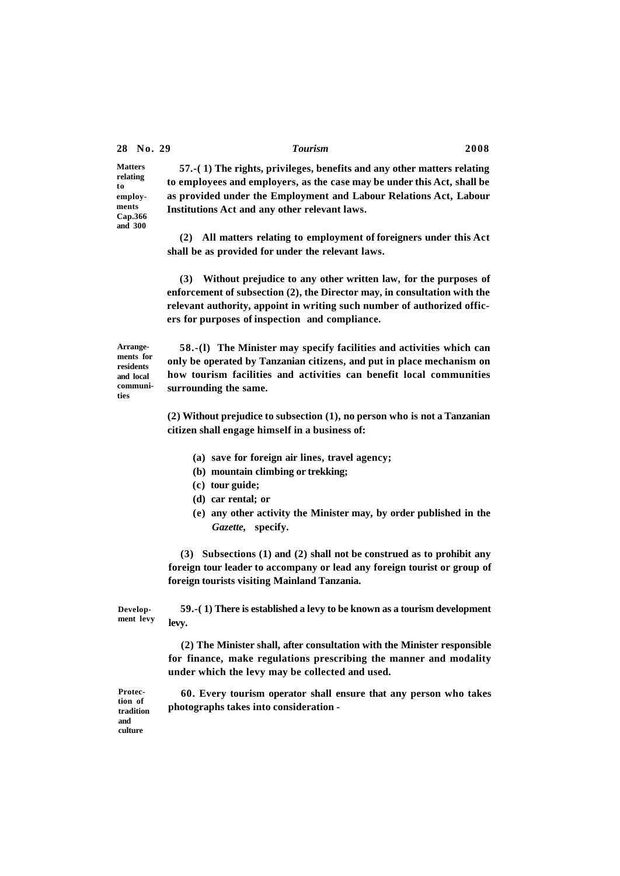**Matters relating to employments Cap.366 and 300** 

**57.-( 1) The rights, privileges, benefits and any other matters relating to employees and employers, as the case may be under this Act, shall be as provided under the Employment and Labour Relations Act, Labour Institutions Act and any other relevant laws.** 

**(2) All matters relating to employment of foreigners under this Act shall be as provided for under the relevant laws.** 

**(3) Without prejudice to any other written law, for the purposes of enforcement of subsection (2), the Director may, in consultation with the relevant authority, appoint in writing such number of authorized officers for purposes of inspection and compliance.** 

**Arrangements for residents and local communities** 

**58.-(l) The Minister may specify facilities and activities which can only be operated by Tanzanian citizens, and put in place mechanism on how tourism facilities and activities can benefit local communities surrounding the same.** 

**(2) Without prejudice to subsection (1), no person who is not a Tanzanian citizen shall engage himself in a business of:** 

- **(a) save for foreign air lines, travel agency;**
- **(b) mountain climbing or trekking;**
- **(c) tour guide;**
- **(d) car rental; or**
- **(e) any other activity the Minister may, by order published in the**  *Gazette,* **specify.**

**(3) Subsections (1) and (2) shall not be construed as to prohibit any foreign tour leader to accompany or lead any foreign tourist or group of foreign tourists visiting Mainland Tanzania.** 

**Development levy 59.-( 1) There is established a levy to be known as a tourism development levy.** 

> **(2) The Minister shall, after consultation with the Minister responsible for finance, make regulations prescribing the manner and modality under which the levy may be collected and used.**

> **60. Every tourism operator shall ensure that any person who takes photographs takes into consideration -**

**Protection of tradition and culture**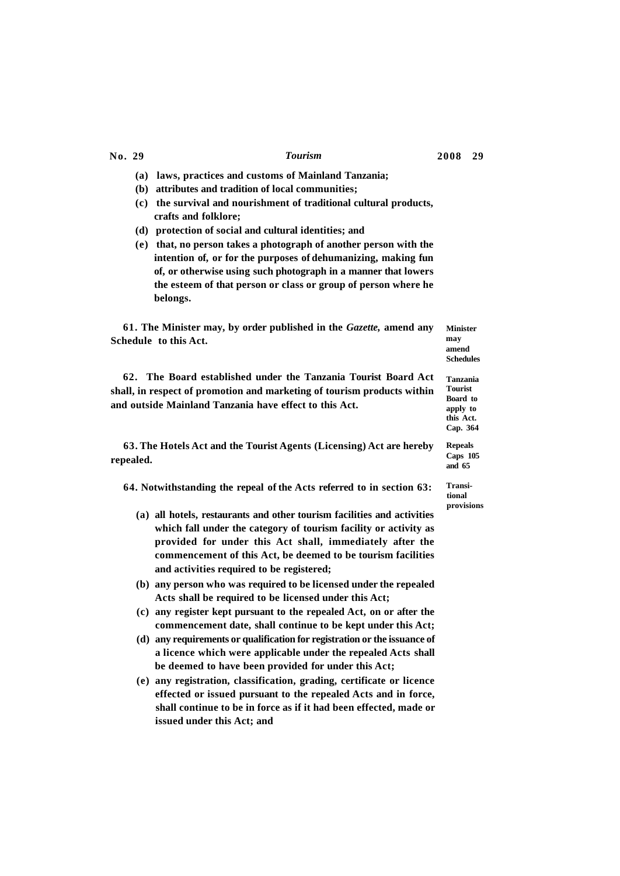- **(a) laws, practices and customs of Mainland Tanzania;**
- **(b) attributes and tradition of local communities;**
- **(c) the survival and nourishment of traditional cultural products, crafts and folklore;**
- **(d) protection of social and cultural identities; and**
- **(e) that, no person takes a photograph of another person with the intention of, or for the purposes of dehumanizing, making fun of, or otherwise using such photograph in a manner that lowers the esteem of that person or class or group of person where he belongs.**

**61. The Minister may, by order published in the** *Gazette,* **amend any Schedule to this Act. Minister** 

**62. The Board established under the Tanzania Tourist Board Act shall, in respect of promotion and marketing of tourism products within and outside Mainland Tanzania have effect to this Act.** 

**63. The Hotels Act and the Tourist Agents (Licensing) Act are hereby repealed.** 

**64. Notwithstanding the repeal of the Acts referred to in section 63:** 

- **(a) all hotels, restaurants and other tourism facilities and activities which fall under the category of tourism facility or activity as provided for under this Act shall, immediately after the commencement of this Act, be deemed to be tourism facilities and activities required to be registered;**
- **(b) any person who was required to be licensed under the repealed Acts shall be required to be licensed under this Act;**
- **(c) any register kept pursuant to the repealed Act, on or after the commencement date, shall continue to be kept under this Act;**
- **(d) any requirements or qualification for registration or the issuance of a licence which were applicable under the repealed Acts shall be deemed to have been provided for under this Act;**
- **(e) any registration, classification, grading, certificate or licence effected or issued pursuant to the repealed Acts and in force, shall continue to be in force as if it had been effected, made or issued under this Act; and**

**may amend Schedules** 

**Tanzania Tourist Board to apply to this Act. Cap. 364** 

**Repeals Caps 105 and 65** 

**Transitional provisions**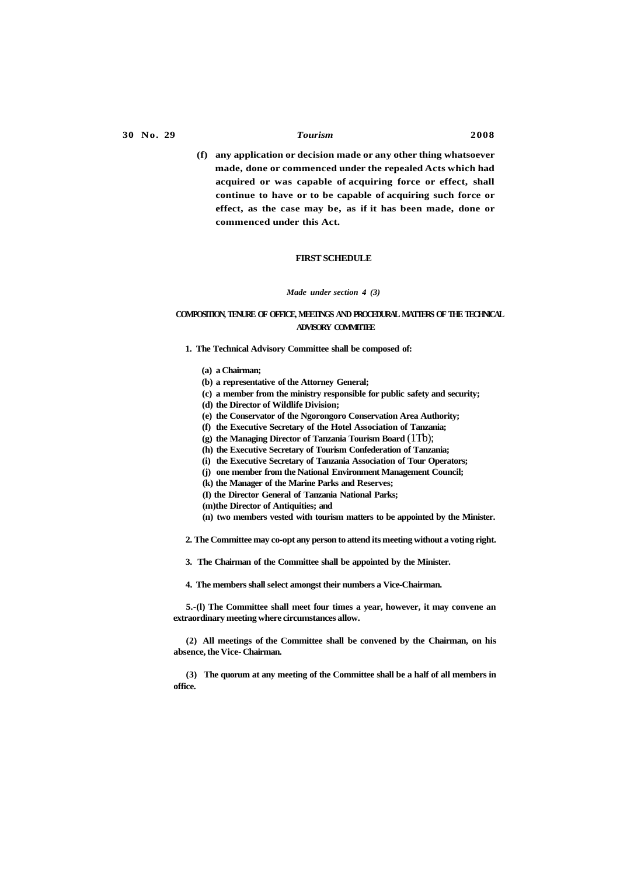**(f) any application or decision made or any other thing whatsoever made, done or commenced under the repealed Acts which had acquired or was capable of acquiring force or effect, shall continue to have or to be capable of acquiring such force or effect, as the case may be, as if it has been made, done or commenced under this Act.** 

### **FIRST SCHEDULE**

### *Made under section 4 (3)*

# **COMPOSITION, TENURE OF OFFICE, MEETINGS AND PROCEDURAL MATTERS OF THE TECHNICAL ADVISORY COMMITTEE**

- **1. The Technical Advisory Committee shall be composed of:** 
	- **(a) a Chairman;**
	- **(b) a representative of the Attorney General;**
	- **(c) a member from the ministry responsible for public safety and security;**

**(d) the Director of Wildlife Division;** 

- **(e) the Conservator of the Ngorongoro Conservation Area Authority;**
- **(f) the Executive Secretary of the Hotel Association of Tanzania;**
- **(g) the Managing Director of Tanzania Tourism Board** (1Tb);
- **(h) the Executive Secretary of Tourism Confederation of Tanzania;**
- **(i) the Executive Secretary of Tanzania Association of Tour Operators;**
- **(j) one member from the National Environment Management Council;**

**(k) the Manager of the Marine Parks and Reserves;** 

- **(I) the Director General of Tanzania National Parks;**
- **(m)the Director of Antiquities; and**
- **(n) two members vested with tourism matters to be appointed by the Minister.**

**2. The Committee may co-opt any person to attend its meeting without a voting right.** 

**3. The Chairman of the Committee shall be appointed by the Minister.** 

**4. The members shall select amongst their numbers a Vice-Chairman.** 

**5.-(l) The Committee shall meet four times a year, however, it may convene an extraordinary meeting where circumstances allow.** 

**(2) All meetings of the Committee shall be convened by the Chairman, on his absence, the Vice- Chairman.** 

**(3) The quorum at any meeting of the Committee shall be a half of all members in office.**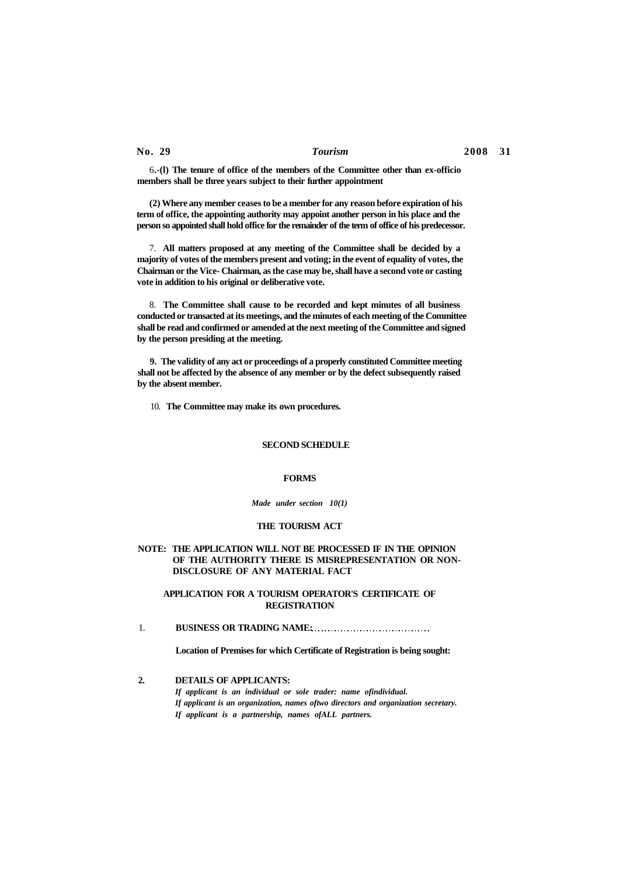6**.-(l) The tenure of office of the members of the Committee other than ex-officio members shall be three years subject to their further appointment** 

**(2) Where any member ceases to be a member for any reason before expiration of his term of office, the appointing authority may appoint another person in his place and the person so appointed shall hold office for the remainder of the term of office of his predecessor.** 

7. **All matters proposed at any meeting of the Committee shall be decided by a majority of votes of the members present and voting; in the event of equality of votes, the Chairman or the Vice- Chairman, as the case may be, shall have a second vote or casting vote in addition to his original or deliberative vote.** 

8. **The Committee shall cause to be recorded and kept minutes of all business conducted or transacted at its meetings, and the minutes of each meeting of the Committee shall be read and confirmed or amended at the next meeting of the Committee and signed by the person presiding at the meeting.** 

**9. The validity of any act or proceedings of a properly constituted Committee meeting shall not be affected by the absence of any member or by the defect subsequently raised by the absent member.** 

10. **The Committee may make its own procedures.** 

### **SECOND SCHEDULE**

### **FORMS**

*Made under section 10(1)* 

### **THE TOURISM ACT**

### **NOTE: THE APPLICATION WILL NOT BE PROCESSED IF IN THE OPINION OF THE AUTHORITY THERE IS MISREPRESENTATION OR NON-DISCLOSURE OF ANY MATERIAL FACT**

### **APPLICATION FOR A TOURISM OPERATOR'S CERTIFICATE OF REGISTRATION**

1. **BUSINESS OR TRADING NAME:** 

**Location of Premises for which Certificate of Registration is being sought:** 

**2. DETAILS OF APPLICANTS:** 

*If applicant is an individual or sole trader: name ofindividual. If applicant is an organization, names oftwo directors and organization secretary. If applicant is a partnership, names ofALL partners.*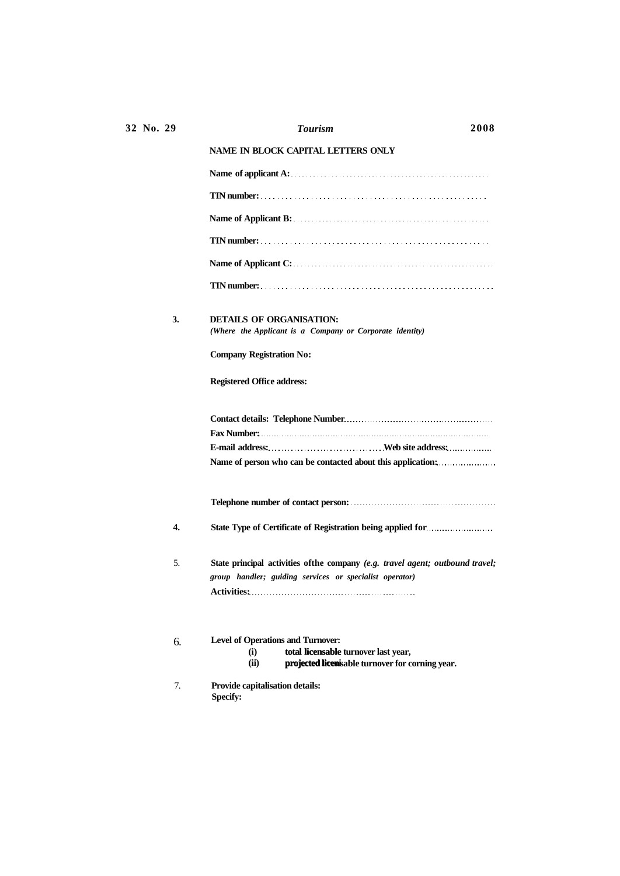|    | <b>NAME IN BLOCK CAPITAL LETTERS ONLY</b>                                                                                                           |
|----|-----------------------------------------------------------------------------------------------------------------------------------------------------|
|    |                                                                                                                                                     |
|    |                                                                                                                                                     |
|    |                                                                                                                                                     |
|    |                                                                                                                                                     |
|    |                                                                                                                                                     |
|    |                                                                                                                                                     |
| 3. | <b>DETAILS OF ORGANISATION:</b><br>(Where the Applicant is a Company or Corporate identity)                                                         |
|    | <b>Company Registration No:</b>                                                                                                                     |
|    | <b>Registered Office address:</b>                                                                                                                   |
|    | Name of person who can be contacted about this application:                                                                                         |
|    |                                                                                                                                                     |
| 4. |                                                                                                                                                     |
| 5. | State principal activities of the company (e.g. travel agent; outbound travel;<br>group handler; guiding services or specialist operator)           |
| б. | <b>Level of Operations and Turnover:</b><br>total licensable turnover last year,<br>(i)<br>(ii)<br>projected licenisable turnover for corning year. |
| 7. | Provide capitalisation details:<br><b>Specify:</b>                                                                                                  |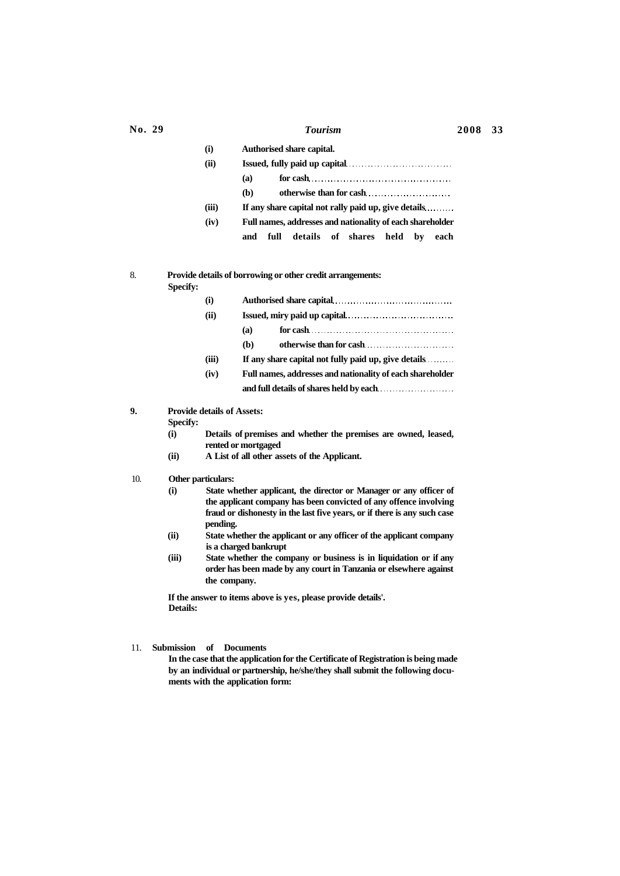| (i)   | Authorised share capital.                                 |
|-------|-----------------------------------------------------------|
| (ii)  |                                                           |
|       | (a)                                                       |
|       | (b)<br>otherwise than for cash                            |
| (iii) | If any share capital not rally paid up, give details      |
| (iv)  | Full names, addresses and nationality of each shareholder |
|       | details of shares held by<br>full<br>and<br>each          |

# 8. **Provide details of borrowing or other credit arrangements:**

**Specify:** 

| (i)   |                                                           |  |
|-------|-----------------------------------------------------------|--|
| (ii)  |                                                           |  |
|       | (a)                                                       |  |
|       | otherwise than for cash<br>(b)                            |  |
| (iii) | If any share capital not fully paid up, give details      |  |
| (iv)  | Full names, addresses and nationality of each shareholder |  |
|       |                                                           |  |
|       |                                                           |  |

**9. Provide details of Assets:** 

**Specify:** 

- **(i) Details of premises and whether the premises are owned, leased, rented or mortgaged**
- **(ii) A List of all other assets of the Applicant.**
- 10. **Other particulars:** 
	- **(i) State whether applicant, the director or Manager or any officer of the applicant company has been convicted of any offence involving fraud or dishonesty in the last five years, or if there is any such case pending.**
	- **(ii) State whether the applicant or any officer of the applicant company is a charged bankrupt**
	- **(iii) State whether the company or business is in liquidation or if any order has been made by any court in Tanzania or elsewhere against the company.**

**If the answer to items above is yes, please provide details'. Details:** 

## 11. **Submission of Documents**

**In the case that the application for the Certificate of Registration is being made by an individual or partnership, he/she/they shall submit the following documents with the application form:**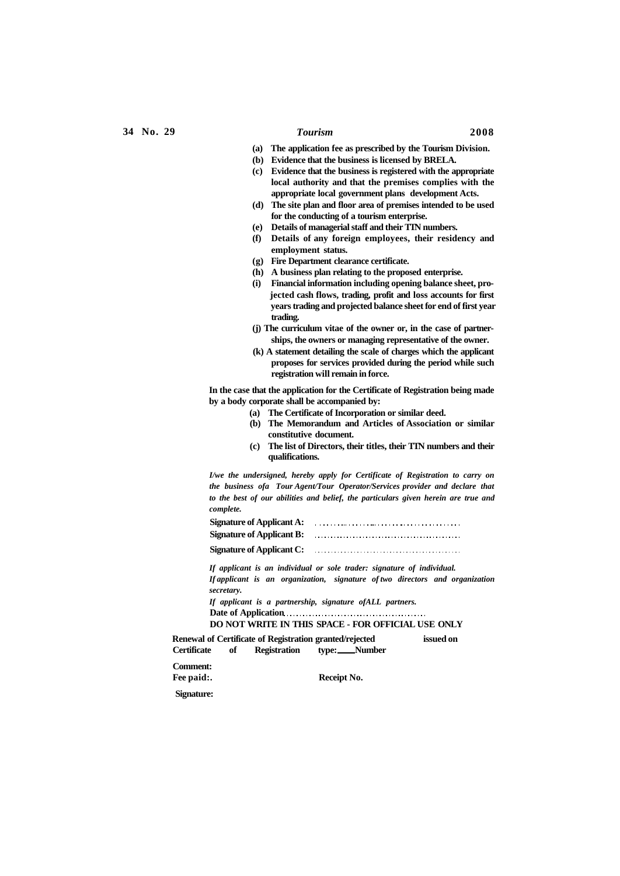- **(a) The application fee as prescribed by the Tourism Division.**
- **(b) Evidence that the business is licensed by BRELA.**
- **(c) Evidence that the business is registered with the appropriate local authority and that the premises complies with the appropriate local government plans development Acts.**
- **(d) The site plan and floor area of premises intended to be used for the conducting of a tourism enterprise.**
- **(e) Details of managerial staff and their TTN numbers.**
- **(f) Details of any foreign employees, their residency and employment status.**
- **(g) Fire Department clearance certificate.**
- **(h) A business plan relating to the proposed enterprise.**
- **(i) Financial information including opening balance sheet, projected cash flows, trading, profit and loss accounts for first years trading and projected balance sheet for end of first year trading.**
- **(j) The curriculum vitae of the owner or, in the case of partnerships, the owners or managing representative of the owner.**
- **(k) A statement detailing the scale of charges which the applicant proposes for services provided during the period while such registration will remain in force.**

**In the case that the application for the Certificate of Registration being made by a body corporate shall be accompanied by:** 

- **(a) The Certificate of Incorporation or similar deed.**
- **(b) The Memorandum and Articles of Association or similar constitutive document.**
- **(c) The list of Directors, their titles, their TTN numbers and their qualifications.**

*I/we the undersigned, hereby apply for Certificate of Registration to carry on the business ofa Tour Agent/Tour Operator/Services provider and declare that to the best of our abilities and belief, the particulars given herein are true and complete.* 

**Signature of Applicant A: Signature of Applicant B: Signature of Applicant C:** 

*If applicant is an individual or sole trader: signature of individual. If applicant is an organization, signature of two directors and organization secretary.* 

*If applicant is a partnership, signature ofALL partners.*  **Date of Application** 

### **DO NOT WRITE IN THIS SPACE - FOR OFFICIAL USE ONLY**

**Renewal of Certificate of Registration granted/rejected issued on** 

**Certificate of Registration type: Number** 

**Comment:**<br>**Fee paid:.** 

**Receipt No.** 

**Signature:**